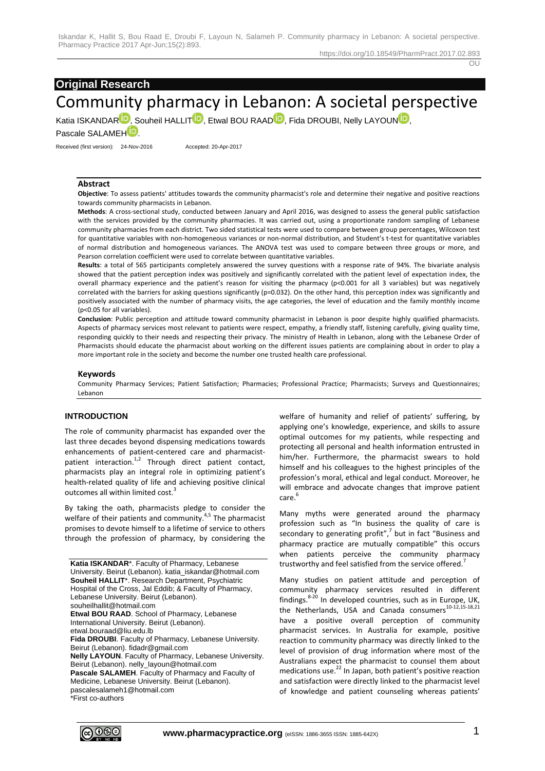# **Original Research**

# Community pharmacy in Lebanon: A societal perspective

Katia ISKANDA[R](http://orcid.org/0000-0001-5544-6681) **[D](http://orcid.org/0000-0001-5269-9229)**, Souheil HALLI[T](http://orcid.org/0000-0001-6918-5689) **D**[,](http://orcid.org/0000-0002-8286-8887) Etwal BOU RAAD **D**, Fida DROUBI, Nelly LAYOUN **D**,

Pascale SALAME[H](http://orcid.org/0000-0002-4780-0772)<sup>D</sup>

Received (first version): 24-Nov-2016 Accepted: 20-Apr-2017

#### **Abstract**

**Objective**: To assess patients' attitudes towards the community pharmacist's role and determine their negative and positive reactions towards community pharmacists in Lebanon.

**Methods**: A cross-sectional study, conducted between January and April 2016, was designed to assess the general public satisfaction with the services provided by the community pharmacies. It was carried out, using a proportionate random sampling of Lebanese community pharmacies from each district. Two sided statistical tests were used to compare between group percentages, Wilcoxon test for quantitative variables with non-homogeneous variances or non-normal distribution, and Student's t-test for quantitative variables of normal distribution and homogeneous variances. The ANOVA test was used to compare between three groups or more, and Pearson correlation coefficient were used to correlate between quantitative variables.

**Results**: a total of 565 participants completely answered the survey questions with a response rate of 94%. The bivariate analysis showed that the patient perception index was positively and significantly correlated with the patient level of expectation index, the overall pharmacy experience and the patient's reason for visiting the pharmacy (p<0.001 for all 3 variables) but was negatively correlated with the barriers for asking questions significantly (p=0.032). On the other hand, this perception index was significantly and positively associated with the number of pharmacy visits, the age categories, the level of education and the family monthly income (p<0.05 for all variables).

**Conclusion**: Public perception and attitude toward community pharmacist in Lebanon is poor despite highly qualified pharmacists. Aspects of pharmacy services most relevant to patients were respect, empathy, a friendly staff, listening carefully, giving quality time, responding quickly to their needs and respecting their privacy. The ministry of Health in Lebanon, along with the Lebanese Order of Pharmacists should educate the pharmacist about working on the different issues patients are complaining about in order to play a more important role in the society and become the number one trusted health care professional.

#### **Keywords**

Community Pharmacy Services; Patient Satisfaction; Pharmacies; Professional Practice; Pharmacists; Surveys and Questionnaires; Lebanon

#### **INTRODUCTION**

The role of community pharmacist has expanded over the last three decades beyond dispensing medications towards enhancements of patient-centered care and pharmacistpatient interaction.<sup>1,2</sup> Through direct patient contact, pharmacists play an integral role in optimizing patient's health-related quality of life and achieving positive clinical outcomes all within limited cost.<sup>3</sup>

By taking the oath, pharmacists pledge to consider the welfare of their patients and community.<sup>4,5</sup> The pharmacist promises to devote himself to a lifetime of service to others through the profession of pharmacy, by considering the

| Katia ISKANDAR <sup>*</sup> . Faculty of Pharmacy, Lebanese    |
|----------------------------------------------------------------|
| University. Beirut (Lebanon). katia_iskandar@hotmail.com       |
| Souheil HALLIT*. Research Department, Psychiatric              |
| Hospital of the Cross, Jal Eddib; & Faculty of Pharmacy,       |
| Lebanese University. Beirut (Lebanon).                         |
| souheilhallit@hotmail.com                                      |
| <b>Etwal BOU RAAD.</b> School of Pharmacy, Lebanese            |
| International University. Beirut (Lebanon).                    |
| etwal.bouraad@liu.edu.lb                                       |
| Fida DROUBI. Faculty of Pharmacy, Lebanese University.         |
| Beirut (Lebanon). fidadr@gmail.com                             |
| <b>Nelly LAYOUN.</b> Faculty of Pharmacy, Lebanese University. |
| Beirut (Lebanon). nelly_layoun@hotmail.com                     |
| Pascale SALAMEH. Faculty of Pharmacy and Faculty of            |
| Medicine, Lebanese University. Beirut (Lebanon).               |
| pascalesalameh1@hotmail.com                                    |
| *First co-authors                                              |
|                                                                |

welfare of humanity and relief of patients' suffering, by applying one's knowledge, experience, and skills to assure optimal outcomes for my patients, while respecting and protecting all personal and health information entrusted in him/her. Furthermore, the pharmacist swears to hold himself and his colleagues to the highest principles of the profession's moral, ethical and legal conduct. Moreover, he will embrace and advocate changes that improve patient care. 6

Many myths were generated around the pharmacy profession such as "In business the quality of care is secondary to generating profit",<sup>7</sup> but in fact "Business and pharmacy practice are mutually compatible" this occurs when patients perceive the community pharmacy trustworthy and feel satisfied from the service offered.<sup>7</sup>

Many studies on patient attitude and perception of community pharmacy services resulted in different findings. 8-20 In developed countries, such as in Europe, UK, the Netherlands, USA and Canada consumers $10-12,15-18,21$ have a positive overall perception of community pharmacist services. In Australia for example, positive reaction to community pharmacy was directly linked to the level of provision of drug information where most of the Australians expect the pharmacist to counsel them about medications use.<sup>22</sup> In Japan, both patient's positive reaction and satisfaction were directly linked to the pharmacist level of knowledge and patient counseling whereas patients'

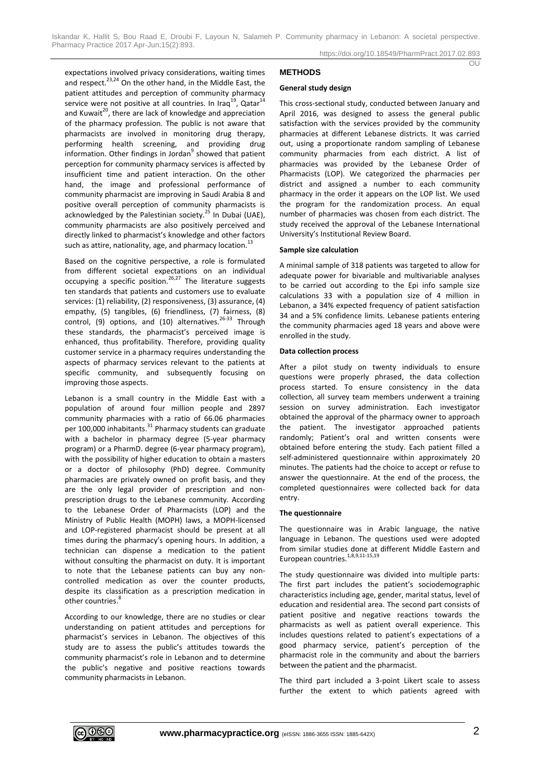expectations involved privacy considerations, waiting times and respect. $^{23,24}$  On the other hand, in the Middle East, the patient attitudes and perception of community pharmacy service were not positive at all countries. In Iraq $^{19}$ , Qatar $^1$ and Kuwait<sup>20</sup>, there are lack of knowledge and appreciation of the pharmacy profession. The public is not aware that pharmacists are involved in monitoring drug therapy, performing health screening, and providing drug information. Other findings in Jordan<sup>9</sup> showed that patient perception for community pharmacy services is affected by insufficient time and patient interaction. On the other hand, the image and professional performance of community pharmacist are improving in Saudi Arabia 8 and positive overall perception of community pharmacists is acknowledged by the Palestinian society.<sup>25</sup> In Dubai (UAE), community pharmacists are also positively perceived and directly linked to pharmacist's knowledge and other factors such as attire, nationality, age, and pharmacy location.<sup>13</sup>

Based on the cognitive perspective, a role is formulated from different societal expectations on an individual occupying a specific position. $26,27$  The literature suggests ten standards that patients and customers use to evaluate services: (1) reliability, (2) responsiveness, (3) assurance, (4) empathy, (5) tangibles, (6) friendliness, (7) fairness, (8) control, (9) options, and (10) alternatives.<sup>26-33</sup> Through these standards, the pharmacist's perceived image is enhanced, thus profitability. Therefore, providing quality customer service in a pharmacy requires understanding the aspects of pharmacy services relevant to the patients at specific community, and subsequently focusing on improving those aspects.

Lebanon is a small country in the Middle East with a population of around four million people and 2897 community pharmacies with a ratio of 66.06 pharmacies per 100,000 inhabitants.<sup>31</sup> Pharmacy students can graduate with a bachelor in pharmacy degree (5-year pharmacy program) or a PharmD. degree (6-year pharmacy program), with the possibility of higher education to obtain a masters or a doctor of philosophy (PhD) degree. Community pharmacies are privately owned on profit basis, and they are the only legal provider of prescription and nonprescription drugs to the Lebanese community. According to the Lebanese Order of Pharmacists (LOP) and the Ministry of Public Health (MOPH) laws, a MOPH-licensed and LOP-registered pharmacist should be present at all times during the pharmacy's opening hours. In addition, a technician can dispense a medication to the patient without consulting the pharmacist on duty. It is important to note that the Lebanese patients can buy any noncontrolled medication as over the counter products, despite its classification as a prescription medication in other countries.<sup>8</sup>

According to our knowledge, there are no studies or clear understanding on patient attitudes and perceptions for pharmacist's services in Lebanon. The objectives of this study are to assess the public's attitudes towards the community pharmacist's role in Lebanon and to determine the public's negative and positive reactions towards community pharmacists in Lebanon.

#### **METHODS**

#### **General study design**

This cross-sectional study, conducted between January and April 2016, was designed to assess the general public satisfaction with the services provided by the community pharmacies at different Lebanese districts. It was carried out, using a proportionate random sampling of Lebanese community pharmacies from each district. A list of pharmacies was provided by the Lebanese Order of Pharmacists (LOP). We categorized the pharmacies per district and assigned a number to each community pharmacy in the order it appears on the LOP list. We used the program for the randomization process. An equal number of pharmacies was chosen from each district. The study received the approval of the Lebanese International University's Institutional Review Board.

#### **Sample size calculation**

A minimal sample of 318 patients was targeted to allow for adequate power for bivariable and multivariable analyses to be carried out according to the Epi info sample size calculations 33 with a population size of 4 million in Lebanon, a 34% expected frequency of patient satisfaction 34 and a 5% confidence limits. Lebanese patients entering the community pharmacies aged 18 years and above were enrolled in the study.

#### **Data collection process**

After a pilot study on twenty individuals to ensure questions were properly phrased, the data collection process started. To ensure consistency in the data collection, all survey team members underwent a training session on survey administration. Each investigator obtained the approval of the pharmacy owner to approach the patient. The investigator approached patients randomly; Patient's oral and written consents were obtained before entering the study. Each patient filled a self-administered questionnaire within approximately 20 minutes. The patients had the choice to accept or refuse to answer the questionnaire. At the end of the process, the completed questionnaires were collected back for data entry.

#### **The questionnaire**

The questionnaire was in Arabic language, the native language in Lebanon. The questions used were adopted from similar studies done at different Middle Eastern and European countries.<sup>1,8,9,11-15,19</sup>

The study questionnaire was divided into multiple parts: The first part includes the patient's sociodemographic characteristics including age, gender, marital status, level of education and residential area. The second part consists of patient positive and negative reactions towards the pharmacists as well as patient overall experience. This includes questions related to patient's expectations of a good pharmacy service, patient's perception of the pharmacist role in the community and about the barriers between the patient and the pharmacist.

The third part included a 3-point Likert scale to assess further the extent to which patients agreed with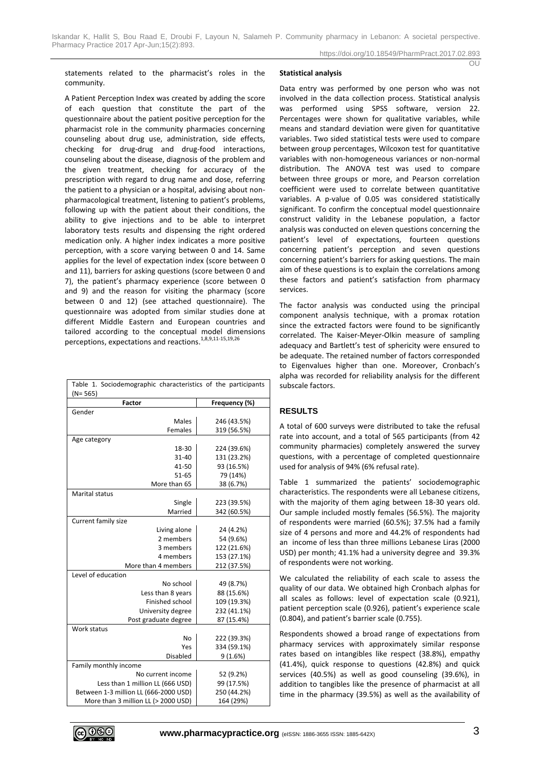https://doi.org/10.18549/PharmPract.2017.02.893

 $\overline{O}$ 

statements related to the pharmacist's roles in the community.

A Patient Perception Index was created by adding the score of each question that constitute the part of the questionnaire about the patient positive perception for the pharmacist role in the community pharmacies concerning counseling about drug use, administration, side effects, checking for drug-drug and drug-food interactions, counseling about the disease, diagnosis of the problem and the given treatment, checking for accuracy of the prescription with regard to drug name and dose, referring the patient to a physician or a hospital, advising about nonpharmacological treatment, listening to patient's problems, following up with the patient about their conditions, the ability to give injections and to be able to interpret laboratory tests results and dispensing the right ordered medication only. A higher index indicates a more positive perception, with a score varying between 0 and 14. Same applies for the level of expectation index (score between 0 and 11), barriers for asking questions (score between 0 and 7), the patient's pharmacy experience (score between 0 and 9) and the reason for visiting the pharmacy (score between 0 and 12) (see attached questionnaire). The questionnaire was adopted from similar studies done at different Middle Eastern and European countries and tailored according to the conceptual model dimensions perceptions, expectations and reactions.<sup>1,8,9,11-15,19,26</sup>

| Table 1. Sociodemographic characteristics of the participants<br>$(N = 565)$ |               |  |  |  |
|------------------------------------------------------------------------------|---------------|--|--|--|
| <b>Factor</b>                                                                | Frequency (%) |  |  |  |
| Gender                                                                       |               |  |  |  |
| Males                                                                        | 246 (43.5%)   |  |  |  |
| Females                                                                      | 319 (56.5%)   |  |  |  |
| Age category                                                                 |               |  |  |  |
| 18-30                                                                        | 224 (39.6%)   |  |  |  |
| 31-40                                                                        | 131 (23.2%)   |  |  |  |
| 41-50                                                                        | 93 (16.5%)    |  |  |  |
| 51-65                                                                        | 79 (14%)      |  |  |  |
| More than 65                                                                 | 38 (6.7%)     |  |  |  |
| <b>Marital status</b>                                                        |               |  |  |  |
| Single                                                                       | 223 (39.5%)   |  |  |  |
| Married                                                                      | 342 (60.5%)   |  |  |  |
| Current family size                                                          |               |  |  |  |
| Living alone                                                                 | 24 (4.2%)     |  |  |  |
| 2 members                                                                    | 54 (9.6%)     |  |  |  |
| 3 members                                                                    | 122 (21.6%)   |  |  |  |
| 4 members                                                                    | 153 (27.1%)   |  |  |  |
| More than 4 members                                                          | 212 (37.5%)   |  |  |  |
| Level of education                                                           |               |  |  |  |
| No school                                                                    | 49 (8.7%)     |  |  |  |
| Less than 8 years                                                            | 88 (15.6%)    |  |  |  |
| Finished school                                                              | 109 (19.3%)   |  |  |  |
| University degree                                                            | 232 (41.1%)   |  |  |  |
| Post graduate degree                                                         | 87 (15.4%)    |  |  |  |
| Work status                                                                  |               |  |  |  |
| No                                                                           | 222 (39.3%)   |  |  |  |
| Yes                                                                          | 334 (59.1%)   |  |  |  |
| <b>Disabled</b>                                                              | 9(1.6%)       |  |  |  |
| Family monthly income                                                        |               |  |  |  |
| No current income                                                            | 52 (9.2%)     |  |  |  |
| Less than 1 million LL (666 USD)                                             | 99 (17.5%)    |  |  |  |
| Between 1-3 million LL (666-2000 USD)                                        | 250 (44.2%)   |  |  |  |
| More than 3 million LL (> 2000 USD)                                          | 164 (29%)     |  |  |  |

#### **Statistical analysis**

Data entry was performed by one person who was not involved in the data collection process. Statistical analysis was performed using SPSS software, version 22. Percentages were shown for qualitative variables, while means and standard deviation were given for quantitative variables. Two sided statistical tests were used to compare between group percentages, Wilcoxon test for quantitative variables with non-homogeneous variances or non-normal distribution. The ANOVA test was used to compare between three groups or more, and Pearson correlation coefficient were used to correlate between quantitative variables. A p-value of 0.05 was considered statistically significant. To confirm the conceptual model questionnaire construct validity in the Lebanese population, a factor analysis was conducted on eleven questions concerning the patient's level of expectations, fourteen questions concerning patient's perception and seven questions concerning patient's barriers for asking questions. The main aim of these questions is to explain the correlations among these factors and patient's satisfaction from pharmacy services.

The factor analysis was conducted using the principal component analysis technique, with a promax rotation since the extracted factors were found to be significantly correlated. The Kaiser-Meyer-Olkin measure of sampling adequacy and Bartlett's test of sphericity were ensured to be adequate. The retained number of factors corresponded to Eigenvalues higher than one. Moreover, Cronbach's alpha was recorded for reliability analysis for the different subscale factors.

## **RESULTS**

A total of 600 surveys were distributed to take the refusal rate into account, and a total of 565 participants (from 42 community pharmacies) completely answered the survey questions, with a percentage of completed questionnaire used for analysis of 94% (6% refusal rate).

Table 1 summarized the patients' sociodemographic characteristics. The respondents were all Lebanese citizens, with the majority of them aging between 18-30 years old. Our sample included mostly females (56.5%). The majority of respondents were married (60.5%); 37.5% had a family size of 4 persons and more and 44.2% of respondents had an income of less than three millions Lebanese Liras (2000 USD) per month; 41.1% had a university degree and 39.3% of respondents were not working.

We calculated the reliability of each scale to assess the quality of our data. We obtained high Cronbach alphas for all scales as follows: level of expectation scale (0.921), patient perception scale (0.926), patient's experience scale (0.804), and patient's barrier scale (0.755).

Respondents showed a broad range of expectations from pharmacy services with approximately similar response rates based on intangibles like respect (38.8%), empathy (41.4%), quick response to questions (42.8%) and quick services (40.5%) as well as good counseling (39.6%), in addition to tangibles like the presence of pharmacist at all time in the pharmacy (39.5%) as well as the availability of

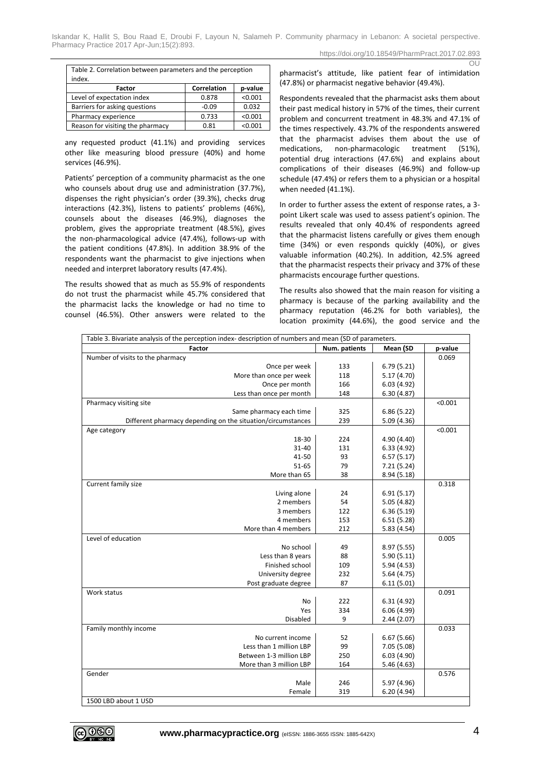| Table 2. Correlation between parameters and the perception |                    |         |  |  |
|------------------------------------------------------------|--------------------|---------|--|--|
| index.                                                     |                    |         |  |  |
| Factor                                                     | <b>Correlation</b> | p-value |  |  |
| Level of expectation index                                 | 0.878              | < 0.001 |  |  |
| Barriers for asking questions                              | $-0.09$            | 0.032   |  |  |
| Pharmacy experience                                        | 0.733              | < 0.001 |  |  |
| Reason for visiting the pharmacy                           | 0.81               | < 0.001 |  |  |

any requested product (41.1%) and providing services other like measuring blood pressure (40%) and home services (46.9%).

Patients' perception of a community pharmacist as the one who counsels about drug use and administration (37.7%), dispenses the right physician's order (39.3%), checks drug interactions (42.3%), listens to patients' problems (46%), counsels about the diseases (46.9%), diagnoses the problem, gives the appropriate treatment (48.5%), gives the non-pharmacological advice (47.4%), follows-up with the patient conditions (47.8%). In addition 38.9% of the respondents want the pharmacist to give injections when needed and interpret laboratory results (47.4%).

The results showed that as much as 55.9% of respondents do not trust the pharmacist while 45.7% considered that the pharmacist lacks the knowledge or had no time to counsel (46.5%). Other answers were related to the pharmacist's attitude, like patient fear of intimidation (47.8%) or pharmacist negative behavior (49.4%).

Respondents revealed that the pharmacist asks them about their past medical history in 57% of the times, their current problem and concurrent treatment in 48.3% and 47.1% of the times respectively. 43.7% of the respondents answered that the pharmacist advises them about the use of medications, non-pharmacologic treatment (51%), potential drug interactions (47.6%) and explains about complications of their diseases (46.9%) and follow-up schedule (47.4%) or refers them to a physician or a hospital when needed (41.1%).

In order to further assess the extent of response rates, a 3 point Likert scale was used to assess patient's opinion. The results revealed that only 40.4% of respondents agreed that the pharmacist listens carefully or gives them enough time (34%) or even responds quickly (40%), or gives valuable information (40.2%). In addition, 42.5% agreed that the pharmacist respects their privacy and 37% of these pharmacists encourage further questions.

The results also showed that the main reason for visiting a pharmacy is because of the parking availability and the pharmacy reputation (46.2% for both variables), the location proximity (44.6%), the good service and the

| Table 3. Bivariate analysis of the perception index-description of numbers and mean (SD of parameters. |               |             |         |  |
|--------------------------------------------------------------------------------------------------------|---------------|-------------|---------|--|
| <b>Factor</b>                                                                                          | Num. patients | Mean (SD    | p-value |  |
| Number of visits to the pharmacy                                                                       |               |             | 0.069   |  |
| Once per week                                                                                          | 133           | 6.79(5.21)  |         |  |
| More than once per week                                                                                | 118           | 5.17(4.70)  |         |  |
| Once per month                                                                                         | 166           | 6.03(4.92)  |         |  |
| Less than once per month                                                                               | 148           | 6.30(4.87)  |         |  |
| Pharmacy visiting site                                                                                 |               |             | < 0.001 |  |
| Same pharmacy each time                                                                                | 325           | 6.86(5.22)  |         |  |
| Different pharmacy depending on the situation/circumstances                                            | 239           | 5.09(4.36)  |         |  |
| Age category                                                                                           |               |             | < 0.001 |  |
| 18-30                                                                                                  | 224           | 4.90 (4.40) |         |  |
| 31-40                                                                                                  | 131           | 6.33(4.92)  |         |  |
| 41-50                                                                                                  | 93            | 6.57(5.17)  |         |  |
| 51-65                                                                                                  | 79            | 7.21(5.24)  |         |  |
| More than 65                                                                                           | 38            | 8.94(5.18)  |         |  |
| Current family size                                                                                    |               |             | 0.318   |  |
| Living alone                                                                                           | 24            | 6.91(5.17)  |         |  |
| 2 members                                                                                              | 54            | 5.05(4.82)  |         |  |
| 3 members                                                                                              | 122           | 6.36(5.19)  |         |  |
| 4 members                                                                                              | 153           | 6.51(5.28)  |         |  |
| More than 4 members                                                                                    | 212           | 5.83(4.54)  |         |  |
| Level of education                                                                                     |               |             | 0.005   |  |
| No school                                                                                              | 49            | 8.97(5.55)  |         |  |
| Less than 8 years                                                                                      | 88            | 5.90(5.11)  |         |  |
| Finished school                                                                                        | 109           | 5.94(4.53)  |         |  |
| University degree                                                                                      | 232           | 5.64(4.75)  |         |  |
| Post graduate degree                                                                                   | 87            | 6.11(5.01)  |         |  |
| Work status                                                                                            |               |             | 0.091   |  |
| No                                                                                                     | 222           | 6.31(4.92)  |         |  |
| Yes                                                                                                    | 334           | 6.06(4.99)  |         |  |
| Disabled                                                                                               | 9             | 2.44(2.07)  |         |  |
| Family monthly income                                                                                  |               |             | 0.033   |  |
| No current income                                                                                      | 52            | 6.67(5.66)  |         |  |
| Less than 1 million LBP                                                                                | 99            | 7.05(5.08)  |         |  |
| Between 1-3 million LBP                                                                                | 250           | 6.03(4.90)  |         |  |
| More than 3 million LBP                                                                                | 164           | 5.46(4.63)  |         |  |
| Gender                                                                                                 |               |             | 0.576   |  |
| Male                                                                                                   | 246           | 5.97(4.96)  |         |  |
| Female                                                                                                 | 319           | 6.20(4.94)  |         |  |
| 1500 LBD about 1 USD                                                                                   |               |             |         |  |

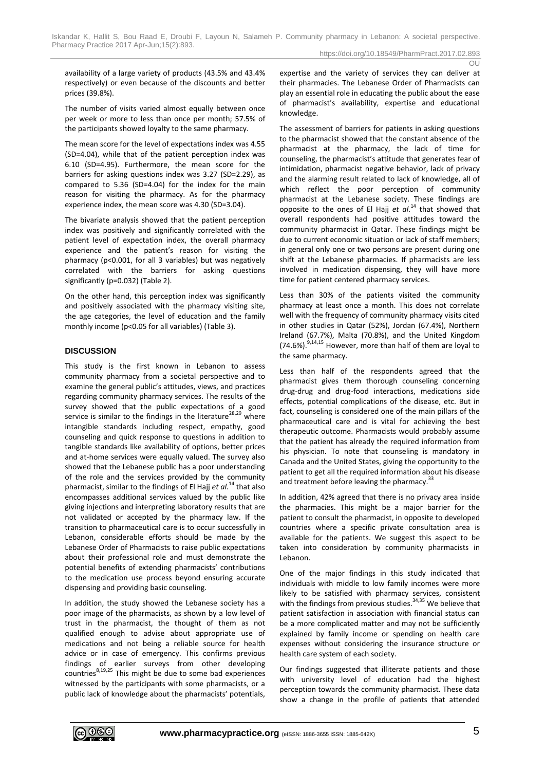availability of a large variety of products (43.5% and 43.4% respectively) or even because of the discounts and better prices (39.8%).

The number of visits varied almost equally between once per week or more to less than once per month; 57.5% of the participants showed loyalty to the same pharmacy.

The mean score for the level of expectations index was 4.55 (SD=4.04), while that of the patient perception index was 6.10 (SD=4.95). Furthermore, the mean score for the barriers for asking questions index was 3.27 (SD=2.29), as compared to 5.36 (SD=4.04) for the index for the main reason for visiting the pharmacy. As for the pharmacy experience index, the mean score was 4.30 (SD=3.04).

The bivariate analysis showed that the patient perception index was positively and significantly correlated with the patient level of expectation index, the overall pharmacy experience and the patient's reason for visiting the pharmacy (p<0.001, for all 3 variables) but was negatively correlated with the barriers for asking questions significantly (p=0.032) (Table 2).

On the other hand, this perception index was significantly and positively associated with the pharmacy visiting site, the age categories, the level of education and the family monthly income (p<0.05 for all variables) (Table 3).

## **DISCUSSION**

This study is the first known in Lebanon to assess community pharmacy from a societal perspective and to examine the general public's attitudes, views, and practices regarding community pharmacy services. The results of the survey showed that the public expectations of a good service is similar to the findings in the literature<sup>28,29</sup> where intangible standards including respect, empathy, good counseling and quick response to questions in addition to tangible standards like availability of options, better prices and at-home services were equally valued. The survey also showed that the Lebanese public has a poor understanding of the role and the services provided by the community pharmacist, similar to the findings of El Hajj *et al*. <sup>14</sup> that also encompasses additional services valued by the public like giving injections and interpreting laboratory results that are not validated or accepted by the pharmacy law. If the transition to pharmaceutical care is to occur successfully in Lebanon, considerable efforts should be made by the Lebanese Order of Pharmacists to raise public expectations about their professional role and must demonstrate the potential benefits of extending pharmacists' contributions to the medication use process beyond ensuring accurate dispensing and providing basic counseling.

In addition, the study showed the Lebanese society has a poor image of the pharmacists, as shown by a low level of trust in the pharmacist, the thought of them as not qualified enough to advise about appropriate use of medications and not being a reliable source for health advice or in case of emergency. This confirms previous findings of earlier surveys from other developing countries<sup>8,19,25</sup> This might be due to some bad experiences witnessed by the participants with some pharmacists, or a public lack of knowledge about the pharmacists' potentials, expertise and the variety of services they can deliver at their pharmacies. The Lebanese Order of Pharmacists can play an essential role in educating the public about the ease of pharmacist's availability, expertise and educational knowledge.

The assessment of barriers for patients in asking questions to the pharmacist showed that the constant absence of the pharmacist at the pharmacy, the lack of time for counseling, the pharmacist's attitude that generates fear of intimidation, pharmacist negative behavior, lack of privacy and the alarming result related to lack of knowledge, all of which reflect the poor perception of community pharmacist at the Lebanese society. These findings are opposite to the ones of El Hajj *et al*. <sup>14</sup> that showed that overall respondents had positive attitudes toward the community pharmacist in Qatar. These findings might be due to current economic situation or lack of staff members; in general only one or two persons are present during one shift at the Lebanese pharmacies. If pharmacists are less involved in medication dispensing, they will have more time for patient centered pharmacy services.

Less than 30% of the patients visited the community pharmacy at least once a month. This does not correlate well with the frequency of community pharmacy visits cited in other studies in Qatar (52%), Jordan (67.4%), Northern Ireland (67.7%), Malta (70.8%), and the United Kingdom  $(74.6\%)$ .<sup>9,14,15</sup> However, more than half of them are loyal to the same pharmacy.

Less than half of the respondents agreed that the pharmacist gives them thorough counseling concerning drug-drug and drug-food interactions, medications side effects, potential complications of the disease, etc. But in fact, counseling is considered one of the main pillars of the pharmaceutical care and is vital for achieving the best therapeutic outcome. Pharmacists would probably assume that the patient has already the required information from his physician. To note that counseling is mandatory in Canada and the United States, giving the opportunity to the patient to get all the required information about his disease and treatment before leaving the pharmacy.<sup>33</sup>

In addition, 42% agreed that there is no privacy area inside the pharmacies. This might be a major barrier for the patient to consult the pharmacist, in opposite to developed countries where a specific private consultation area is available for the patients. We suggest this aspect to be taken into consideration by community pharmacists in Lebanon.

One of the major findings in this study indicated that individuals with middle to low family incomes were more likely to be satisfied with pharmacy services, consistent with the findings from previous studies.<sup>34,35</sup> We believe that patient satisfaction in association with financial status can be a more complicated matter and may not be sufficiently explained by family income or spending on health care expenses without considering the insurance structure or health care system of each society.

Our findings suggested that illiterate patients and those with university level of education had the highest perception towards the community pharmacist. These data show a change in the profile of patients that attended

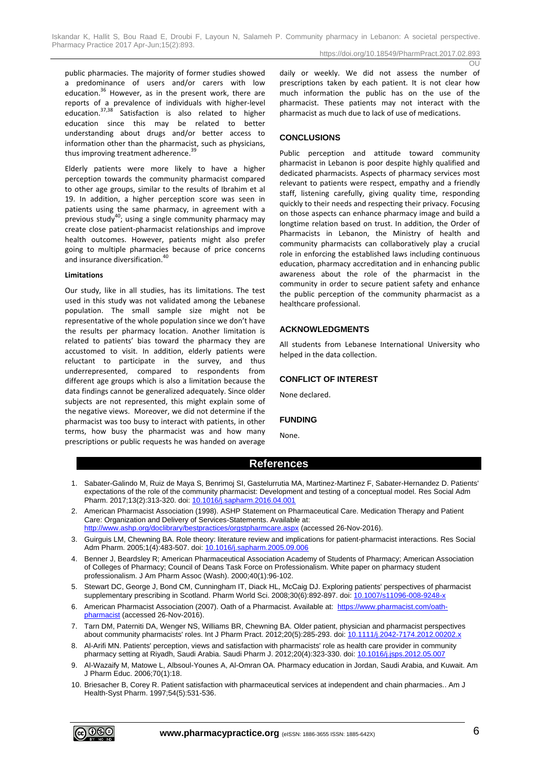public pharmacies. The majority of former studies showed a predominance of users and/or carers with low education.<sup>36</sup> However, as in the present work, there are reports of a prevalence of individuals with higher-level education.<sup>37,38</sup> Satisfaction is also related to higher education since this may be related to better understanding about drugs and/or better access to information other than the pharmacist, such as physicians, thus improving treatment adherence.<sup>39</sup>

Elderly patients were more likely to have a higher perception towards the community pharmacist compared to other age groups, similar to the results of Ibrahim et al 19. In addition, a higher perception score was seen in patients using the same pharmacy, in agreement with a previous study<sup>40</sup>; using a single community pharmacy may create close patient-pharmacist relationships and improve health outcomes. However, patients might also prefer going to multiple pharmacies because of price concerns and insurance diversification. 40

#### **Limitations**

Our study, like in all studies, has its limitations. The test used in this study was not validated among the Lebanese population. The small sample size might not be representative of the whole population since we don't have the results per pharmacy location. Another limitation is related to patients' bias toward the pharmacy they are accustomed to visit. In addition, elderly patients were reluctant to participate in the survey, and thus underrepresented, compared to respondents from different age groups which is also a limitation because the data findings cannot be generalized adequately. Since older subjects are not represented, this might explain some of the negative views. Moreover, we did not determine if the pharmacist was too busy to interact with patients, in other terms, how busy the pharmacist was and how many prescriptions or public requests he was handed on average

 $\overline{O}$ daily or weekly. We did not assess the number of prescriptions taken by each patient. It is not clear how much information the public has on the use of the pharmacist. These patients may not interact with the pharmacist as much due to lack of use of medications.

#### **CONCLUSIONS**

Public perception and attitude toward community pharmacist in Lebanon is poor despite highly qualified and dedicated pharmacists. Aspects of pharmacy services most relevant to patients were respect, empathy and a friendly staff, listening carefully, giving quality time, responding quickly to their needs and respecting their privacy. Focusing on those aspects can enhance pharmacy image and build a longtime relation based on trust. In addition, the Order of Pharmacists in Lebanon, the Ministry of health and community pharmacists can collaboratively play a crucial role in enforcing the established laws including continuous education, pharmacy accreditation and in enhancing public awareness about the role of the pharmacist in the community in order to secure patient safety and enhance the public perception of the community pharmacist as a healthcare professional.

#### **ACKNOWLEDGMENTS**

All students from Lebanese International University who helped in the data collection.

#### **CONFLICT OF INTEREST**

None declared.

#### **FUNDING**

None.

# **References**

- 1. Sabater-Galindo M, Ruiz de Maya S, Benrimoj SI, Gastelurrutia MA, Martinez-Martinez F, Sabater-Hernandez D. Patients' expectations of the role of the community pharmacist: Development and testing of a conceptual model. Res Social Adm Pharm. 2017;13(2):313-320. doi: [10.1016/j.sapharm.2016.04.001](https://doi.org/10.1016/j.sapharm.2016.04.001)
- 2. American Pharmacist Association (1998). ASHP Statement on Pharmaceutical Care. Medication Therapy and Patient Care: Organization and Delivery of Services-Statements. Available at: <http://www.ashp.org/doclibrary/bestpractices/orgstpharmcare.aspx> (accessed 26-Nov-2016).
- 3. Guirguis LM, Chewning BA. Role theory: literature review and implications for patient-pharmacist interactions. Res Social Adm Pharm. 2005;1(4):483-507. doi[: 10.1016/j.sapharm.2005.09.006](https://doi.org/10.1016/j.sapharm.2005.09.006)
- 4. Benner J, Beardsley R; American Pharmaceutical Association Academy of Students of Pharmacy; American Association of Colleges of Pharmacy; Council of Deans Task Force on Professionalism. White paper on pharmacy student professionalism. J Am Pharm Assoc (Wash). 2000;40(1):96-102.
- 5. Stewart DC, George J, Bond CM, Cunningham IT, Diack HL, McCaig DJ. Exploring patients' perspectives of pharmacist supplementary prescribing in Scotland. Pharm World Sci. 2008;30(6):892-897. doi: [10.1007/s11096-008-9248-x](https://doi.org/10.1007/s11096-008-9248-x)
- 6. American Pharmacist Association (2007). Oath of a Pharmacist. Available at: [https://www.pharmacist.com/oath](https://www.pharmacist.com/oath-pharmacist)[pharmacist](https://www.pharmacist.com/oath-pharmacist) (accessed 26-Nov-2016).
- 7. Tarn DM, Paterniti DA, Wenger NS, Williams BR, Chewning BA. Older patient, physician and pharmacist perspectives about community pharmacists' roles. Int J Pharm Pract. 2012;20(5):285-293. doi: [10.1111/j.2042-7174.2012.00202.x](https://doi.org/10.1111/j.2042-7174.2012.00202.x)
- 8. Al-Arifi MN. Patients' perception, views and satisfaction with pharmacists' role as health care provider in community pharmacy setting at Riyadh, Saudi Arabia. Saudi Pharm J. 2012;20(4):323-330. doi[: 10.1016/j.jsps.2012.05.007](https://doi.org/10.1016/j.jsps.2012.05.007)
- 9. Al-Wazaify M, Matowe L, Albsoul-Younes A, Al-Omran OA. Pharmacy education in Jordan, Saudi Arabia, and Kuwait. Am J Pharm Educ. 2006;70(1):18.
- 10. Briesacher B, Corey R. Patient satisfaction with pharmaceutical services at independent and chain pharmacies.. Am J Health-Syst Pharm. 1997;54(5):531-536.